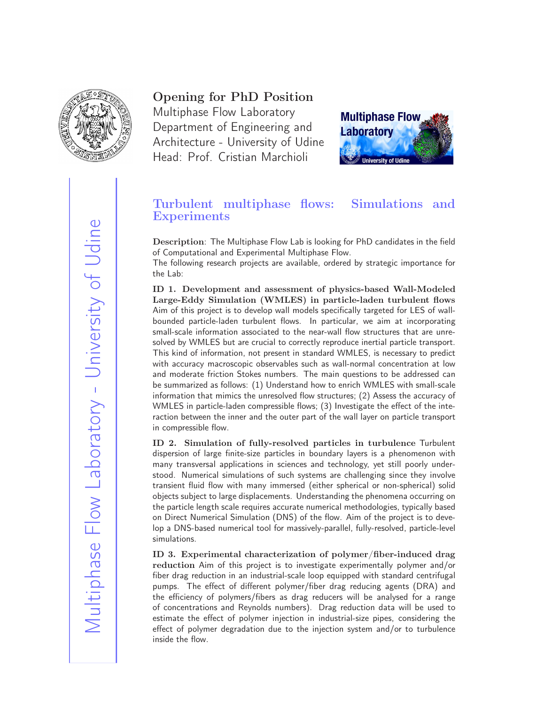

## Opening for PhD Position

Multiphase Flow Laboratory Department of Engineering and Architecture - University of Udine Head: Prof. Cristian Marchioli



## Turbulent multiphase flows: Simulations and **Experiments**

Description: The Multiphase Flow Lab is looking for PhD candidates in the field of Computational and Experimental Multiphase Flow.

The following research projects are available, ordered by strategic importance for the Lab:

ID 1. Development and assessment of physics-based Wall-Modeled Large-Eddy Simulation (WMLES) in particle-laden turbulent flows Aim of this project is to develop wall models specifically targeted for LES of wallbounded particle-laden turbulent flows. In particular, we aim at incorporating small-scale information associated to the near-wall flow structures that are unresolved by WMLES but are crucial to correctly reproduce inertial particle transport. This kind of information, not present in standard WMLES, is necessary to predict with accuracy macroscopic observables such as wall-normal concentration at low and moderate friction Stokes numbers. The main questions to be addressed can be summarized as follows: (1) Understand how to enrich WMLES with small-scale information that mimics the unresolved flow structures; (2) Assess the accuracy of WMLES in particle-laden compressible flows; (3) Investigate the effect of the interaction between the inner and the outer part of the wall layer on particle transport in compressible flow.

ID 2. Simulation of fully-resolved particles in turbulence Turbulent dispersion of large finite-size particles in boundary layers is a phenomenon with many transversal applications in sciences and technology, yet still poorly understood. Numerical simulations of such systems are challenging since they involve transient fluid flow with many immersed (either spherical or non-spherical) solid objects subject to large displacements. Understanding the phenomena occurring on the particle length scale requires accurate numerical methodologies, typically based on Direct Numerical Simulation (DNS) of the flow. Aim of the project is to develop a DNS-based numerical tool for massively-parallel, fully-resolved, particle-level simulations.

ID 3. Experimental characterization of polymer/fiber-induced drag reduction Aim of this project is to investigate experimentally polymer and/or fiber drag reduction in an industrial-scale loop equipped with standard centrifugal pumps. The effect of different polymer/fiber drag reducing agents (DRA) and the efficiency of polymers/fibers as drag reducers will be analysed for a range of concentrations and Reynolds numbers). Drag reduction data will be used to estimate the effect of polymer injection in industrial-size pipes, considering the effect of polymer degradation due to the injection system and/or to turbulence inside the flow.